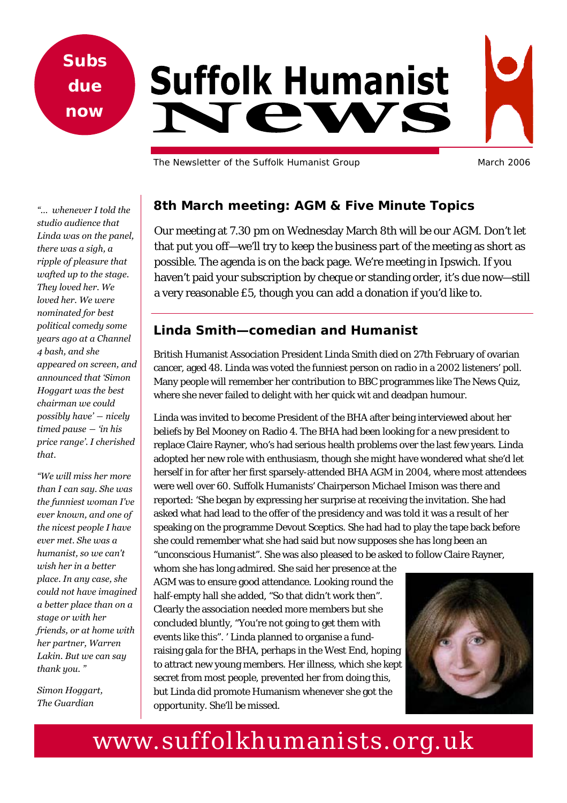**Subs due now** 

# **Suffolk Humanist STATA**

The Newsletter of the Suffolk Humanist Group March 2006

*"… whenever I told the studio audience that Linda was on the panel, there was a sigh, a ripple of pleasure that wafted up to the stage. They loved her. We loved her. We were nominated for best political comedy some years ago at a Channel 4 bash, and she appeared on screen, and announced that 'Simon Hoggart was the best chairman we could possibly have' ― nicely timed pause ― 'in his price range'. I cherished that.* 

*"We will miss her more than I can say. She was the funniest woman I've ever known, and one of the nicest people I have ever met. She was a humanist, so we can't wish her in a better place. In any case, she could not have imagined a better place than on a stage or with her friends, or at home with her partner, Warren Lakin. But we can say thank you. "* 

*Simon Hoggart, The Guardian* 

## **8th March meeting: AGM & Five Minute Topics**

Our meeting at 7.30 pm on Wednesday March 8th will be our AGM. Don't let that put you off—we'll try to keep the business part of the meeting as short as possible. The agenda is on the back page. We're meeting in Ipswich. If you haven't paid your subscription by cheque or standing order, it's due now—still a very reasonable £5, though you can add a donation if you'd like to.

## **Linda Smith—comedian and Humanist**

British Humanist Association President Linda Smith died on 27th February of ovarian cancer, aged 48. Linda was voted the funniest person on radio in a 2002 listeners' poll. Many people will remember her contribution to BBC programmes like The News Quiz, where she never failed to delight with her quick wit and deadpan humour.

Linda was invited to become President of the BHA after being interviewed about her beliefs by Bel Mooney on Radio 4. The BHA had been looking for a new president to replace Claire Rayner, who's had serious health problems over the last few years. Linda adopted her new role with enthusiasm, though she might have wondered what she'd let herself in for after her first sparsely-attended BHA AGM in 2004, where most attendees were well over 60. Suffolk Humanists' Chairperson Michael Imison was there and reported: 'She began by expressing her surprise at receiving the invitation. She had asked what had lead to the offer of the presidency and was told it was a result of her speaking on the programme Devout Sceptics. She had had to play the tape back before she could remember what she had said but now supposes she has long been an "unconscious Humanist". She was also pleased to be asked to follow Claire Rayner,

whom she has long admired. She said her presence at the AGM was to ensure good attendance. Looking round the half-empty hall she added, "So that didn't work then". Clearly the association needed more members but she concluded bluntly, "You're not going to get them with events like this". ' Linda planned to organise a fundraising gala for the BHA, perhaps in the West End, hoping to attract new young members. Her illness, which she kept secret from most people, prevented her from doing this, but Linda did promote Humanism whenever she got the opportunity. She'll be missed.



# www.suffolkhumanists.org.uk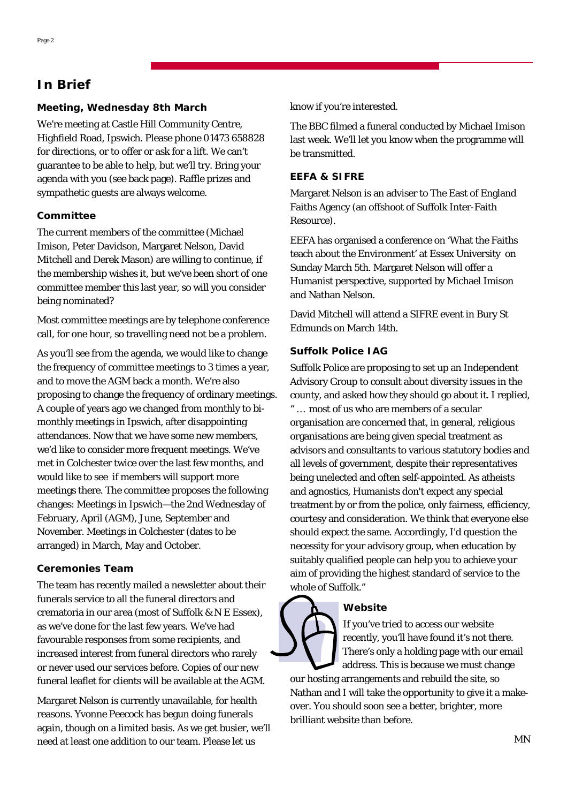# **In Brief**

#### **Meeting, Wednesday 8th March**

We're meeting at Castle Hill Community Centre, Highfield Road, Ipswich. Please phone 01473 658828 for directions, or to offer or ask for a lift. We can't guarantee to be able to help, but we'll try. Bring your agenda with you (see back page). Raffle prizes and sympathetic guests are always welcome.

#### **Committee**

The current members of the committee (Michael Imison, Peter Davidson, Margaret Nelson, David Mitchell and Derek Mason) are willing to continue, if the membership wishes it, but we've been short of one committee member this last year, so will you consider being nominated?

Most committee meetings are by telephone conference call, for one hour, so travelling need not be a problem.

As you'll see from the agenda, we would like to change the frequency of committee meetings to 3 times a year, and to move the AGM back a month. We're also proposing to change the frequency of ordinary meetings. A couple of years ago we changed from monthly to bimonthly meetings in Ipswich, after disappointing attendances. Now that we have some new members, we'd like to consider more frequent meetings. We've met in Colchester twice over the last few months, and would like to see if members will support more meetings there. The committee proposes the following changes: Meetings in Ipswich—the 2nd Wednesday of February, April (AGM), June, September and November. Meetings in Colchester (dates to be arranged) in March, May and October.

#### **Ceremonies Team**

The team has recently mailed a newsletter about their funerals service to all the funeral directors and crematoria in our area (most of Suffolk & N E Essex), as we've done for the last few years. We've had favourable responses from some recipients, and increased interest from funeral directors who rarely or never used our services before. Copies of our new funeral leaflet for clients will be available at the AGM.

Margaret Nelson is currently unavailable, for health reasons. Yvonne Peecock has begun doing funerals again, though on a limited basis. As we get busier, we'll need at least one addition to our team. Please let us

know if you're interested.

The BBC filmed a funeral conducted by Michael Imison last week. We'll let you know when the programme will be transmitted.

#### **EEFA & SIFRE**

Margaret Nelson is an adviser to The East of England Faiths Agency (an offshoot of Suffolk Inter-Faith Resource).

EEFA has organised a conference on 'What the Faiths teach about the Environment' at Essex University on Sunday March 5th. Margaret Nelson will offer a Humanist perspective, supported by Michael Imison and Nathan Nelson.

David Mitchell will attend a SIFRE event in Bury St Edmunds on March 14th.

#### **Suffolk Police IAG**

Suffolk Police are proposing to set up an Independent Advisory Group to consult about diversity issues in the county, and asked how they should go about it. I replied, " … most of us who are members of a secular organisation are concerned that, in general, religious organisations are being given special treatment as advisors and consultants to various statutory bodies and all levels of government, despite their representatives being unelected and often self-appointed. As atheists and agnostics, Humanists don't expect any special treatment by or from the police, only fairness, efficiency, courtesy and consideration. We think that everyone else should expect the same. Accordingly, I'd question the necessity for your advisory group, when education by suitably qualified people can help you to achieve your aim of providing the highest standard of service to the whole of Suffolk."

#### **Website**

If you've tried to access our website recently, you'll have found it's not there. There's only a holding page with our email address. This is because we must change

our hosting arrangements and rebuild the site, so Nathan and I will take the opportunity to give it a makeover. You should soon see a better, brighter, more brilliant website than before.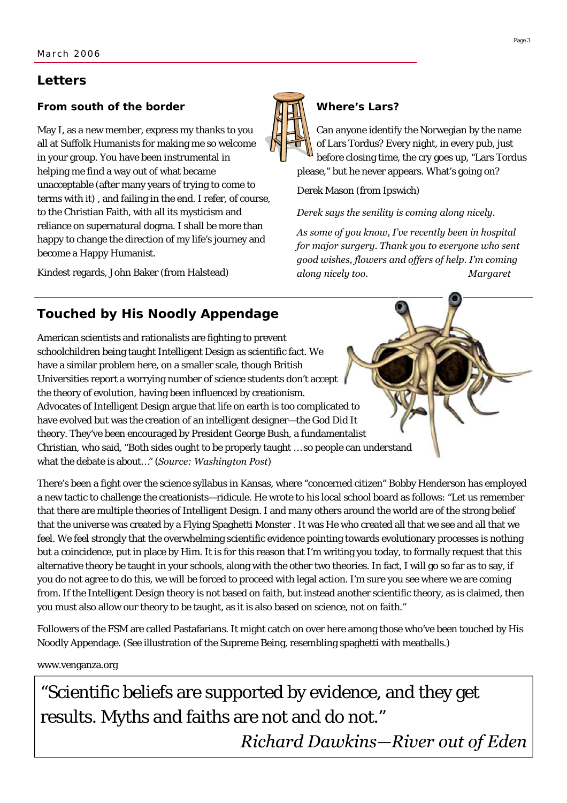## **Letters**

#### **From south of the border**

May I, as a new member, express my thanks to you all at Suffolk Humanists for making me so welcome in your group. You have been instrumental in helping me find a way out of what became unacceptable (after many years of trying to come to terms with it) , and failing in the end. I refer, of course, to the Christian Faith, with all its mysticism and reliance on supernatural dogma. I shall be more than happy to change the direction of my life's journey and become a Happy Humanist.

Kindest regards, John Baker (from Halstead)



#### **Where's Lars?**

Can anyone identify the Norwegian by the name of Lars Tordus? Every night, in every pub, just before closing time, the cry goes up, "Lars Tordus please," but he never appears. What's going on?

Derek Mason (from Ipswich)

*Derek says the senility is coming along nicely.* 

*As some of you know, I've recently been in hospital for major surgery. Thank you to everyone who sent good wishes, flowers and offers of help. I'm coming along nicely too. Margaret* 

# **Touched by His Noodly Appendage**

American scientists and rationalists are fighting to prevent schoolchildren being taught Intelligent Design as scientific fact. We have a similar problem here, on a smaller scale, though British Universities report a worrying number of science students don't accept the theory of evolution, having been influenced by creationism. Advocates of Intelligent Design argue that life on earth is too complicated to have evolved but was the creation of an intelligent designer—the God Did It theory. They've been encouraged by President George Bush, a fundamentalist Christian, who said, "Both sides ought to be properly taught … so people can understand what the debate is about…" (*Source: Washington Post*)

There's been a fight over the science syllabus in Kansas, where "concerned citizen" Bobby Henderson has employed a new tactic to challenge the creationists—ridicule. He wrote to his local school board as follows: "Let us remember that there are multiple theories of Intelligent Design. I and many others around the world are of the strong belief that the universe was created by a Flying Spaghetti Monster . It was He who created all that we see and all that we feel. We feel strongly that the overwhelming scientific evidence pointing towards evolutionary processes is nothing but a coincidence, put in place by Him. It is for this reason that I'm writing you today, to formally request that this alternative theory be taught in your schools, along with the other two theories. In fact, I will go so far as to say, if you do not agree to do this, we will be forced to proceed with legal action. I'm sure you see where we are coming from. If the Intelligent Design theory is not based on faith, but instead another scientific theory, as is claimed, then you must also allow our theory to be taught, as it is also based on science, not on faith."

Followers of the FSM are called Pastafarians. It might catch on over here among those who've been touched by His Noodly Appendage. (See illustration of the Supreme Being, resembling spaghetti with meatballs.)

www.venganza.org

"Scientific beliefs are supported by evidence, and they get results. Myths and faiths are not and do not." *Richard Dawkins—River out of Eden*